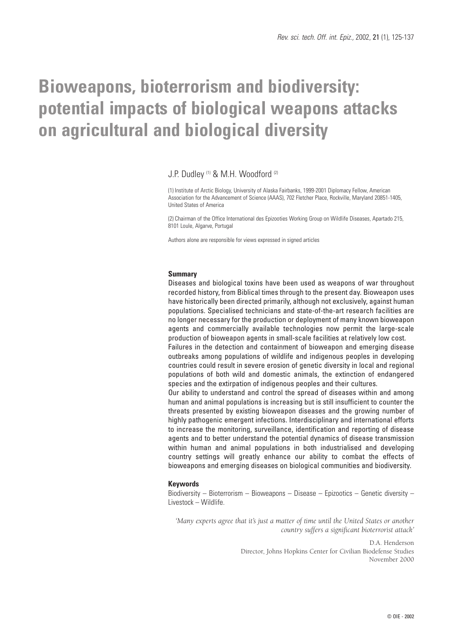# **Bioweapons, bioterrorism and biodiversity: potential impacts of biological weapons attacks on agricultural and biological diversity**

### J.P. Dudley (1) & M.H. Woodford (2)

(1) Institute of Arctic Biology, University of Alaska Fairbanks, 1999-2001 Diplomacy Fellow, American Association for the Advancement of Science (AAAS), 702 Fletcher Place, Rockville, Maryland 20851-1405, United States of America

(2) Chairman of the Office International des Epizooties Working Group on Wildlife Diseases, Apartado 215, 8101 Loule, Algarve, Portugal

Authors alone are responsible for views expressed in signed articles

#### **Summary**

Diseases and biological toxins have been used as weapons of war throughout recorded history, from Biblical times through to the present day. Bioweapon uses have historically been directed primarily, although not exclusively, against human populations. Specialised technicians and state-of-the-art research facilities are no longer necessary for the production or deployment of many known bioweapon agents and commercially available technologies now permit the large-scale production of bioweapon agents in small-scale facilities at relatively low cost. Failures in the detection and containment of bioweapon and emerging disease outbreaks among populations of wildlife and indigenous peoples in developing countries could result in severe erosion of genetic diversity in local and regional populations of both wild and domestic animals, the extinction of endangered species and the extirpation of indigenous peoples and their cultures. Our ability to understand and control the spread of diseases within and among human and animal populations is increasing but is still insufficient to counter the threats presented by existing bioweapon diseases and the growing number of highly pathogenic emergent infections. Interdisciplinary and international efforts to increase the monitoring, surveillance, identification and reporting of disease

agents and to better understand the potential dynamics of disease transmission within human and animal populations in both industrialised and developing country settings will greatly enhance our ability to combat the effects of bioweapons and emerging diseases on biological communities and biodiversity.

#### **Keywords**

Biodiversity – Bioterrorism – Bioweapons – Disease – Epizootics – Genetic diversity – Livestock – Wildlife.

*'Many experts agree that it's just a matter of time until the United States or another country suffers a significant bioterrorist attack'*

> D.A. Henderson Director, Johns Hopkins Center for Civilian Biodefense Studies November 2000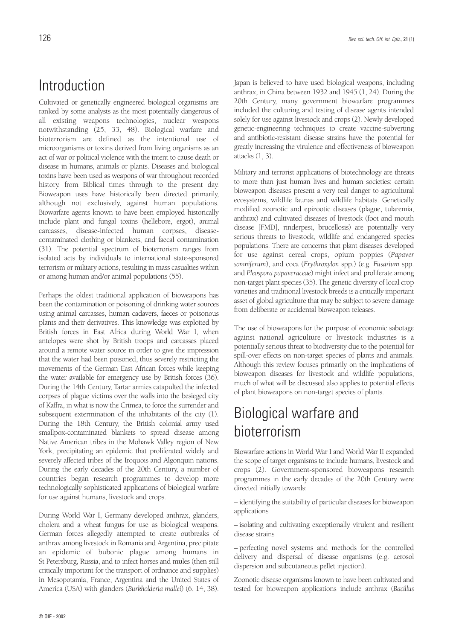## Introduction

Cultivated or genetically engineered biological organisms are ranked by some analysts as the most potentially dangerous of all existing weapons technologies, nuclear weapons notwithstanding (25, 33, 48). Biological warfare and bioterrorism are defined as the intentional use of microorganisms or toxins derived from living organisms as an act of war or political violence with the intent to cause death or disease in humans, animals or plants. Diseases and biological toxins have been used as weapons of war throughout recorded history, from Biblical times through to the present day. Bioweapon uses have historically been directed primarily, although not exclusively, against human populations. Biowarfare agents known to have been employed historically include plant and fungal toxins (hellebore, ergot), animal carcasses, disease-infected human corpses, diseasecontaminated clothing or blankets, and faecal contamination (31). The potential spectrum of bioterrorism ranges from isolated acts by individuals to international state-sponsored terrorism or military actions, resulting in mass casualties within or among human and/or animal populations (55).

Perhaps the oldest traditional application of bioweapons has been the contamination or poisoning of drinking water sources using animal carcasses, human cadavers, faeces or poisonous plants and their derivatives. This knowledge was exploited by British forces in East Africa during World War I, when antelopes were shot by British troops and carcasses placed around a remote water source in order to give the impression that the water had been poisoned, thus severely restricting the movements of the German East African forces while keeping the water available for emergency use by British forces (36). During the 14th Century, Tartar armies catapulted the infected corpses of plague victims over the walls into the besieged city of Kaffra, in what is now the Crimea, to force the surrender and subsequent extermination of the inhabitants of the city (1). During the 18th Century, the British colonial army used smallpox-contaminated blankets to spread disease among Native American tribes in the Mohawk Valley region of New York, precipitating an epidemic that proliferated widely and severely affected tribes of the Iroquois and Algonquin nations. During the early decades of the 20th Century, a number of countries began research programmes to develop more technologically sophisticated applications of biological warfare for use against humans, livestock and crops.

During World War I, Germany developed anthrax, glanders, cholera and a wheat fungus for use as biological weapons. German forces allegedly attempted to create outbreaks of anthrax among livestock in Romania and Argentina, precipitate an epidemic of bubonic plague among humans in St Petersburg, Russia, and to infect horses and mules (then still critically important for the transport of ordnance and supplies) in Mesopotamia, France, Argentina and the United States of America (USA) with glanders (*Burkholderia mallei*) (6, 14, 38).

Japan is believed to have used biological weapons, including anthrax, in China between 1932 and 1945 (1, 24). During the 20th Century, many government biowarfare programmes included the culturing and testing of disease agents intended solely for use against livestock and crops (2). Newly developed genetic-engineering techniques to create vaccine-subverting and antibiotic-resistant disease strains have the potential for greatly increasing the virulence and effectiveness of bioweapon attacks (1, 3).

Military and terrorist applications of biotechnology are threats to more than just human lives and human societies; certain bioweapon diseases present a very real danger to agricultural ecosystems, wildlife faunas and wildlife habitats. Genetically modified zoonotic and epizootic diseases (plague, tularemia, anthrax) and cultivated diseases of livestock (foot and mouth disease [FMD], rinderpest, brucellosis) are potentially very serious threats to livestock, wildlife and endangered species populations. There are concerns that plant diseases developed for use against cereal crops, opium poppies (*Papaver somniferum*), and coca (*Erythroxylon* spp.) (e.g. *Fusarium* spp. and *Pleospora papaveraceae*) might infect and proliferate among non-target plant species (35). The genetic diversity of local crop varieties and traditional livestock breeds is a critically important asset of global agriculture that may be subject to severe damage from deliberate or accidental bioweapon releases.

The use of bioweapons for the purpose of economic sabotage against national agriculture or livestock industries is a potentially serious threat to biodiversity due to the potential for spill-over effects on non-target species of plants and animals. Although this review focuses primarily on the implications of bioweapon diseases for livestock and wildlife populations, much of what will be discussed also applies to potential effects of plant bioweapons on non-target species of plants.

## Biological warfare and bioterrorism

Biowarfare actions in World War I and World War II expanded the scope of target organisms to include humans, livestock and crops (2). Government-sponsored bioweapons research programmes in the early decades of the 20th Century were directed initially towards:

– identifying the suitability of particular diseases for bioweapon applications

– isolating and cultivating exceptionally virulent and resilient disease strains

– perfecting novel systems and methods for the controlled delivery and dispersal of disease organisms (e.g. aerosol dispersion and subcutaneous pellet injection).

Zoonotic disease organisms known to have been cultivated and tested for bioweapon applications include anthrax (*Bacillus*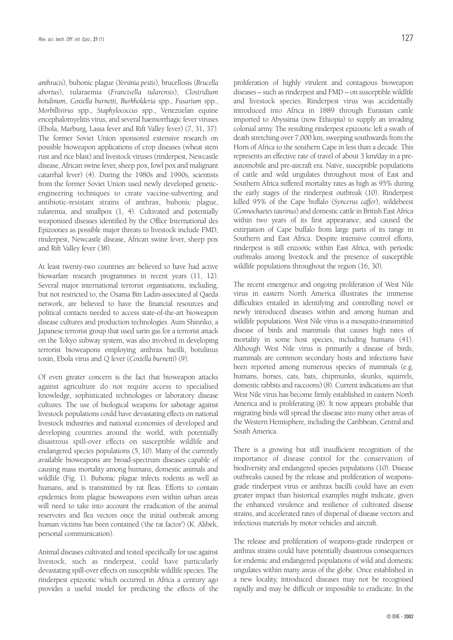*anthracis*), bubonic plague (*Yersinia pestis*), brucellosis (*Brucella abortus*), tularaemia (*Francisella tularensis*), *Clostridium botulinum*, *Coxiella burnetti*, *Burkholderia* spp., *Fusarium* spp., *Morbillivirus* spp., *Staphylococcus* spp., Venezuelan equine encephalomyelitis virus, and several haemorrhagic fever viruses (Ebola, Marburg, Lassa fever and Rift Valley fever) (7, 31, 37). The former Soviet Union sponsored extensive research on possible bioweapon applications of crop diseases (wheat stem rust and rice blast) and livestock viruses (rinderpest, Newcastle disease, African swine fever, sheep pox, fowl pox and malignant catarrhal fever) (4). During the 1980s and 1990s, scientists from the former Soviet Union used newly developed geneticengineering techniques to create vaccine-subverting and antibiotic-resistant strains of anthrax, bubonic plague, tularemia, and smallpox (1, 4). Cultivated and potentially weaponised diseases identified by the Office International des Epizooties as possible major threats to livestock include FMD, rinderpest, Newcastle disease, African swine fever, sheep pox and Rift Valley fever (38).

At least twenty-two countries are believed to have had active biowarfare research programmes in recent years (11, 12). Several major international terrorist organisations, including, but not restricted to, the Osama Bin Ladin-associated al Qaeda network, are believed to have the financial resources and political contacts needed to access state-of-the-art bioweapon disease cultures and production technologies. Aum Shinriko, a Japanese terrorist group that used sarin gas for a terrorist attack on the Tokyo subway system, was also involved in developing terrorist bioweapons employing anthrax bacilli, botulinus toxin, Ebola virus and Q fever (*Coxiella burnetti*) (9).

Of even greater concern is the fact that bioweapon attacks against agriculture do not require access to specialised knowledge, sophisticated technologies or laboratory disease cultures. The use of biological weapons for sabotage against livestock populations could have devastating effects on national livestock industries and national economies of developed and developing countries around the world, with potentially disastrous spill-over effects on susceptible wildlife and endangered species populations (5, 10). Many of the currently available bioweapons are broad-spectrum diseases capable of causing mass mortality among humans, domestic animals and wildlife (Fig. 1). Bubonic plague infects rodents as well as humans, and is transmitted by rat fleas. Efforts to contain epidemics from plague bioweapons even within urban areas will need to take into account the eradication of the animal reservoirs and flea vectors once the initial outbreak among human victims has been contained ('the rat factor') (K. Alibek, personal communication).

Animal diseases cultivated and tested specifically for use against livestock, such as rinderpest, could have particularly devastating spill-over effects on susceptible wildlife species. The rinderpest epizootic which occurred in Africa a century ago provides a useful model for predicting the effects of the proliferation of highly virulent and contagious bioweapon diseases – such as rinderpest and FMD – on susceptible wildlife and livestock species. Rinderpest virus was accidentally introduced into Africa in 1889 through Eurasian cattle imported to Abyssinia (now Ethiopia) to supply an invading colonial army. The resulting rinderpest epizootic left a swath of death stretching over 7,000 km, sweeping southwards from the Horn of Africa to the southern Cape in less than a decade. This represents an effective rate of travel of about 3 km/day in a preautomobile and pre-aircraft era. Naïve, susceptible populations of cattle and wild ungulates throughout most of East and Southern Africa suffered mortality rates as high as 95% during the early stages of the rinderpest outbreak (10). Rinderpest

The recent emergence and ongoing proliferation of West Nile virus in eastern North America illustrates the immense difficulties entailed in identifying and controlling novel or newly introduced diseases within and among human and wildlife populations. West Nile virus is a mosquito-transmitted disease of birds and mammals that causes high rates of mortality in some host species, including humans (41). Although West Nile virus is primarily a disease of birds, mammals are common secondary hosts and infections have been reported among numerous species of mammals (e.g. humans, horses, cats, bats, chipmunks, skunks, squirrels, domestic rabbits and raccoons) (8). Current indications are that West Nile virus has become firmly established in eastern North America and is proliferating (8). It now appears probable that migrating birds will spread the disease into many other areas of the Western Hemisphere, including the Caribbean, Central and South America.

killed 95% of the Cape buffalo (*Syncerus caffer*), wildebeest (*Connochaetes taurinus*) and domestic cattle in British East Africa within two years of its first appearance, and caused the extirpation of Cape buffalo from large parts of its range in Southern and East Africa. Despite intensive control efforts, rinderpest is still enzootic within East Africa, with periodic outbreaks among livestock and the presence of susceptible

wildlife populations throughout the region (16, 30).

There is a growing but still insufficient recognition of the importance of disease control for the conservation of biodiversity and endangered species populations (10). Disease outbreaks caused by the release and proliferation of weaponsgrade rinderpest virus or anthrax bacilli could have an even greater impact than historical examples might indicate, given the enhanced virulence and resilience of cultivated disease strains, and accelerated rates of dispersal of disease vectors and infectious materials by motor vehicles and aircraft.

The release and proliferation of weapons-grade rinderpest or anthrax strains could have potentially disastrous consequences for endemic and endangered populations of wild and domestic ungulates within many areas of the globe. Once established in a new locality, introduced diseases may not be recognised rapidly and may be difficult or impossible to eradicate. In the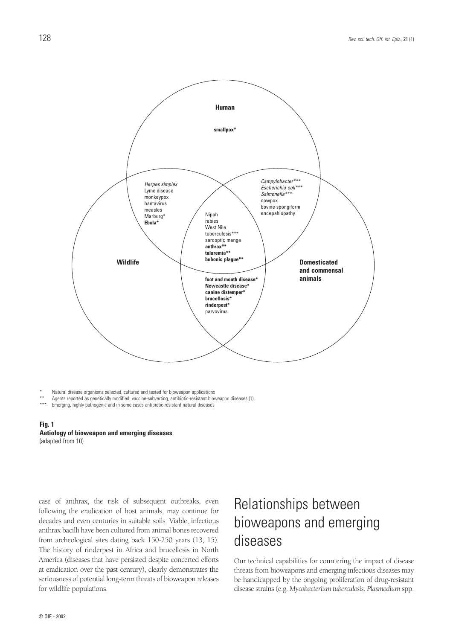

Natural disease organisms selected, cultured and tested for bioweapon applications

\*\* Agents reported as genetically modified, vaccine-subverting, antibiotic-resistant bioweapon diseases (1)

Emerging, highly pathogenic and in some cases antibiotic-resistant natural diseases



case of anthrax, the risk of subsequent outbreaks, even following the eradication of host animals, may continue for decades and even centuries in suitable soils. Viable, infectious anthrax bacilli have been cultured from animal bones recovered from archeological sites dating back 150-250 years (13, 15). The history of rinderpest in Africa and brucellosis in North America (diseases that have persisted despite concerted efforts at eradication over the past century), clearly demonstrates the seriousness of potential long-term threats of bioweapon releases for wildlife populations.

## Relationships between bioweapons and emerging diseases

Our technical capabilities for countering the impact of disease threats from bioweapons and emerging infectious diseases may be handicapped by the ongoing proliferation of drug-resistant disease strains (e.g. *Mycobacterium tuberculosis*, *Plasmodium* spp.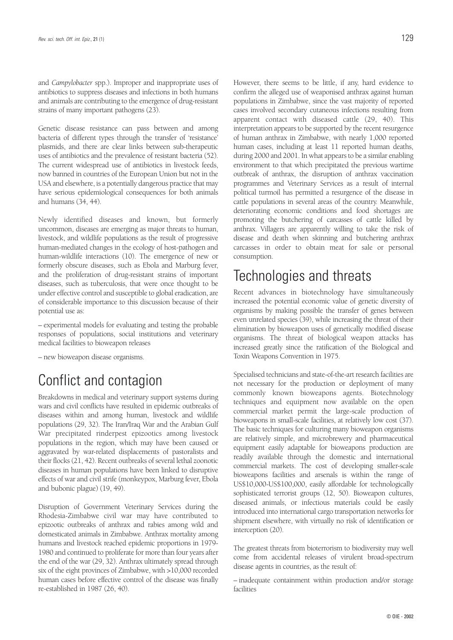and *Campylobacter* spp.). Improper and inappropriate uses of antibiotics to suppress diseases and infections in both humans and animals are contributing to the emergence of drug-resistant strains of many important pathogens (23).

Genetic disease resistance can pass between and among bacteria of different types through the transfer of 'resistance' plasmids, and there are clear links between sub-therapeutic uses of antibiotics and the prevalence of resistant bacteria (52). The current widespread use of antibiotics in livestock feeds, now banned in countries of the European Union but not in the USA and elsewhere, is a potentially dangerous practice that may have serious epidemiological consequences for both animals and humans (34, 44).

Newly identified diseases and known, but formerly uncommon, diseases are emerging as major threats to human, livestock, and wildlife populations as the result of progressive human-mediated changes in the ecology of host-pathogen and human-wildlife interactions (10). The emergence of new or formerly obscure diseases, such as Ebola and Marburg fever, and the proliferation of drug-resistant strains of important diseases, such as tuberculosis, that were once thought to be under effective control and susceptible to global eradication, are of considerable importance to this discussion because of their potential use as:

– experimental models for evaluating and testing the probable responses of populations, social institutions and veterinary medical facilities to bioweapon releases

– new bioweapon disease organisms.

## Conflict and contagion

Breakdowns in medical and veterinary support systems during wars and civil conflicts have resulted in epidemic outbreaks of diseases within and among human, livestock and wildlife populations (29, 32). The Iran/Iraq War and the Arabian Gulf War precipitated rinderpest epizootics among livestock populations in the region, which may have been caused or aggravated by war-related displacements of pastoralists and their flocks (21, 42). Recent outbreaks of several lethal zoonotic diseases in human populations have been linked to disruptive effects of war and civil strife (monkeypox, Marburg fever, Ebola and bubonic plague) (19, 49).

Disruption of Government Veterinary Services during the Rhodesia-Zimbabwe civil war may have contributed to epizootic outbreaks of anthrax and rabies among wild and domesticated animals in Zimbabwe. Anthrax mortality among humans and livestock reached epidemic proportions in 1979- 1980 and continued to proliferate for more than four years after the end of the war (29, 32). Anthrax ultimately spread through six of the eight provinces of Zimbabwe, with >10,000 recorded human cases before effective control of the disease was finally re-established in 1987 (26, 40).

However, there seems to be little, if any, hard evidence to confirm the alleged use of weaponised anthrax against human populations in Zimbabwe, since the vast majority of reported cases involved secondary cutaneous infections resulting from apparent contact with diseased cattle (29, 40). This interpretation appears to be supported by the recent resurgence of human anthrax in Zimbabwe, with nearly 1,000 reported human cases, including at least 11 reported human deaths, during 2000 and 2001. In what appears to be a similar enabling environment to that which precipitated the previous wartime outbreak of anthrax, the disruption of anthrax vaccination programmes and Veterinary Services as a result of internal political turmoil has permitted a resurgence of the disease in cattle populations in several areas of the country. Meanwhile, deteriorating economic conditions and food shortages are promoting the butchering of carcasses of cattle killed by anthrax. Villagers are apparently willing to take the risk of disease and death when skinning and butchering anthrax carcasses in order to obtain meat for sale or personal consumption.

## Technologies and threats

Recent advances in biotechnology have simultaneously increased the potential economic value of genetic diversity of organisms by making possible the transfer of genes between even unrelated species (39), while increasing the threat of their elimination by bioweapon uses of genetically modified disease organisms. The threat of biological weapon attacks has increased greatly since the ratification of the Biological and Toxin Weapons Convention in 1975.

Specialised technicians and state-of-the-art research facilities are not necessary for the production or deployment of many commonly known bioweapons agents. Biotechnology techniques and equipment now available on the open commercial market permit the large-scale production of bioweapons in small-scale facilities, at relatively low cost (37). The basic techniques for culturing many bioweapon organisms are relatively simple, and microbrewery and pharmaceutical equipment easily adaptable for bioweapons production are readily available through the domestic and international commercial markets. The cost of developing smaller-scale bioweapons facilities and arsenals is within the range of US\$10,000-US\$100,000, easily affordable for technologically sophisticated terrorist groups (12, 50). Bioweapon cultures, diseased animals, or infectious materials could be easily introduced into international cargo transportation networks for shipment elsewhere, with virtually no risk of identification or interception (20).

The greatest threats from bioterrorism to biodiversity may well come from accidental releases of virulent broad-spectrum disease agents in countries, as the result of:

– inadequate containment within production and/or storage facilities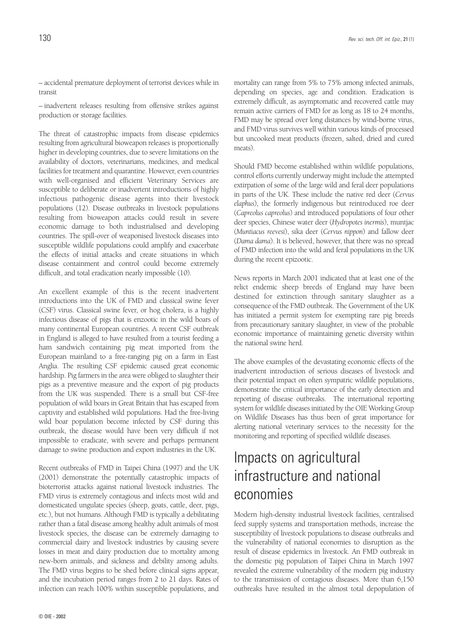– accidental premature deployment of terrorist devices while in transit

– inadvertent releases resulting from offensive strikes against production or storage facilities.

The threat of catastrophic impacts from disease epidemics resulting from agricultural bioweapon releases is proportionally higher in developing countries, due to severe limitations on the availability of doctors, veterinarians, medicines, and medical facilities for treatment and quarantine. However, even countries with well-organised and efficient Veterinary Services are susceptible to deliberate or inadvertent introductions of highly infectious pathogenic disease agents into their livestock populations (12). Disease outbreaks in livestock populations resulting from bioweapon attacks could result in severe economic damage to both industrialised and developing countries. The spill-over of weaponised livestock diseases into susceptible wildlife populations could amplify and exacerbate the effects of initial attacks and create situations in which disease containment and control could become extremely difficult, and total eradication nearly impossible (10).

An excellent example of this is the recent inadvertent introductions into the UK of FMD and classical swine fever (CSF) virus. Classical swine fever, or hog cholera, is a highly infectious disease of pigs that is enzootic in the wild boars of many continental European countries. A recent CSF outbreak in England is alleged to have resulted from a tourist feeding a ham sandwich containing pig meat imported from the European mainland to a free-ranging pig on a farm in East Anglia. The resulting CSF epidemic caused great economic hardship. Pig farmers in the area were obliged to slaughter their pigs as a preventive measure and the export of pig products from the UK was suspended. There is a small but CSF-free population of wild boars in Great Britain that has escaped from captivity and established wild populations. Had the free-living wild boar population become infected by CSF during this outbreak, the disease would have been very difficult if not impossible to eradicate, with severe and perhaps permanent damage to swine production and export industries in the UK.

Recent outbreaks of FMD in Taipei China (1997) and the UK (2001) demonstrate the potentially catastrophic impacts of bioterrorist attacks against national livestock industries. The FMD virus is extremely contagious and infects most wild and domesticated ungulate species (sheep, goats, cattle, deer, pigs, etc.), but not humans. Although FMD is typically a debilitating rather than a fatal disease among healthy adult animals of most livestock species, the disease can be extremely damaging to commercial dairy and livestock industries by causing severe losses in meat and dairy production due to mortality among new-born animals, and sickness and debility among adults. The FMD virus begins to be shed before clinical signs appear, and the incubation period ranges from 2 to 21 days. Rates of infection can reach 100% within susceptible populations, and

mortality can range from 5% to 75% among infected animals, depending on species, age and condition. Eradication is extremely difficult, as asymptomatic and recovered cattle may remain active carriers of FMD for as long as 18 to 24 months, FMD may be spread over long distances by wind-borne virus, and FMD virus survives well within various kinds of processed but uncooked meat products (frozen, salted, dried and cured meats).

Should FMD become established within wildlife populations, control efforts currently underway might include the attempted extirpation of some of the large wild and feral deer populations in parts of the UK. These include the native red deer (*Cervus elaphus*), the formerly indigenous but reintroduced roe deer (*Capreolus capreolus*) and introduced populations of four other deer species, Chinese water deer (*Hydropotes inermis*), muntjac (*Muntiacus reevesi*), sika deer (*Cervus nippon*) and fallow deer (*Dama dama*). It is believed, however, that there was no spread of FMD infection into the wild and feral populations in the UK during the recent epizootic.

News reports in March 2001 indicated that at least one of the relict endemic sheep breeds of England may have been destined for extinction through sanitary slaughter as a consequence of the FMD outbreak. The Government of the UK has initiated a permit system for exempting rare pig breeds from precautionary sanitary slaughter, in view of the probable economic importance of maintaining genetic diversity within the national swine herd.

The above examples of the devastating economic effects of the inadvertent introduction of serious diseases of livestock and their potential impact on often sympatric wildlife populations, demonstrate the critical importance of the early detection and reporting of disease outbreaks. The international reporting system for wildlife diseases initiated by the OIE Working Group on Wildlife Diseases has thus been of great importance for alerting national veterinary services to the necessity for the monitoring and reporting of specified wildlife diseases.

# Impacts on agricultural infrastructure and national economies

Modern high-density industrial livestock facilities, centralised feed supply systems and transportation methods, increase the susceptibility of livestock populations to disease outbreaks and the vulnerability of national economies to disruption as the result of disease epidemics in livestock. An FMD outbreak in the domestic pig population of Taipei China in March 1997 revealed the extreme vulnerability of the modern pig industry to the transmission of contagious diseases. More than 6,150 outbreaks have resulted in the almost total depopulation of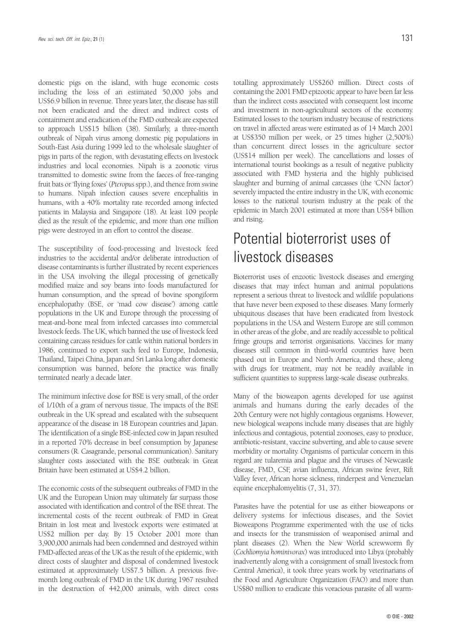domestic pigs on the island, with huge economic costs including the loss of an estimated 50,000 jobs and US\$6.9 billion in revenue. Three years later, the disease has still not been eradicated and the direct and indirect costs of containment and eradication of the FMD outbreak are expected to approach US\$15 billion (38). Similarly, a three-month outbreak of Nipah virus among domestic pig populations in South-East Asia during 1999 led to the wholesale slaughter of pigs in parts of the region, with devastating effects on livestock industries and local economies. Nipah is a zoonotic virus transmitted to domestic swine from the faeces of free-ranging fruit bats or 'flying foxes' (*Pteropus*spp.), and thence from swine to humans. Nipah infection causes severe encephalitis in humans, with a 40% mortality rate recorded among infected patients in Malaysia and Singapore (18). At least 109 people died as the result of the epidemic, and more than one million pigs were destroyed in an effort to control the disease.

The susceptibility of food-processing and livestock feed industries to the accidental and/or deliberate introduction of disease contaminants is further illustrated by recent experiences in the USA involving the illegal processing of genetically modified maize and soy beans into foods manufactured for human consumption, and the spread of bovine spongiform encephalopathy (BSE, or 'mad cow disease') among cattle populations in the UK and Europe through the processing of meat-and-bone meal from infected carcasses into commercial livestock feeds. The UK, which banned the use of livestock feed containing carcass residues for cattle within national borders in 1986, continued to export such feed to Europe, Indonesia, Thailand, Taipei China, Japan and Sri Lanka long after domestic consumption was banned, before the practice was finally terminated nearly a decade later.

The minimum infective dose for BSE is very small, of the order of 1/10th of a gram of nervous tissue. The impacts of the BSE outbreak in the UK spread and escalated with the subsequent appearance of the disease in 18 European countries and Japan. The identification of a single BSE-infected cow in Japan resulted in a reported 70% decrease in beef consumption by Japanese consumers (R. Casagrande, personal communication). Sanitary slaughter costs associated with the BSE outbreak in Great Britain have been estimated at US\$4.2 billion.

The economic costs of the subsequent outbreaks of FMD in the UK and the European Union may ultimately far surpass those associated with identification and control of the BSE threat. The incremental costs of the recent outbreak of FMD in Great Britain in lost meat and livestock exports were estimated at US\$2 million per day. By 15 October 2001 more than 3,900,000 animals had been condemned and destroyed within FMD-affected areas of the UK as the result of the epidemic, with direct costs of slaughter and disposal of condemned livestock estimated at approximately US\$7.5 billion. A previous fivemonth long outbreak of FMD in the UK during 1967 resulted in the destruction of 442,000 animals, with direct costs

totalling approximately US\$260 million. Direct costs of containing the 2001 FMD epizootic appear to have been far less than the indirect costs associated with consequent lost income and investment in non-agricultural sectors of the economy. Estimated losses to the tourism industry because of restrictions on travel in affected areas were estimated as of 14 March 2001 at US\$350 million per week, or 25 times higher (2,500%) than concurrent direct losses in the agriculture sector (US\$14 million per week). The cancellations and losses of international tourist bookings as a result of negative publicity associated with FMD hysteria and the highly publicised slaughter and burning of animal carcasses (the 'CNN factor') severely impacted the entire industry in the UK, with economic losses to the national tourism industry at the peak of the epidemic in March 2001 estimated at more than US\$4 billion and rising.

## Potential bioterrorist uses of livestock diseases

Bioterrorist uses of enzootic livestock diseases and emerging diseases that may infect human and animal populations represent a serious threat to livestock and wildlife populations that have never been exposed to these diseases. Many formerly ubiquitous diseases that have been eradicated from livestock populations in the USA and Western Europe are still common in other areas of the globe, and are readily accessible to political fringe groups and terrorist organisations. Vaccines for many diseases still common in third-world countries have been phased out in Europe and North America, and these, along with drugs for treatment, may not be readily available in sufficient quantities to suppress large-scale disease outbreaks.

Many of the bioweapon agents developed for use against animals and humans during the early decades of the 20th Century were not highly contagious organisms. However, new biological weapons include many diseases that are highly infectious and contagious, potential zoonoses, easy to produce, antibiotic-resistant, vaccine subverting, and able to cause severe morbidity or mortality. Organisms of particular concern in this regard are tularemia and plague and the viruses of Newcastle disease, FMD, CSF, avian influenza, African swine fever, Rift Valley fever, African horse sickness, rinderpest and Venezuelan equine encephalomyelitis (7, 31, 37).

Parasites have the potential for use as either bioweapons or delivery systems for infectious diseases, and the Soviet Bioweapons Programme experimented with the use of ticks and insects for the transmission of weaponised animal and plant diseases (2). When the New World screwworm fly (*Cochliomyia hominivorax*) was introduced into Libya (probably inadvertently along with a consignment of small livestock from Central America), it took three years work by veterinarians of the Food and Agriculture Organization (FAO) and more than US\$80 million to eradicate this voracious parasite of all warm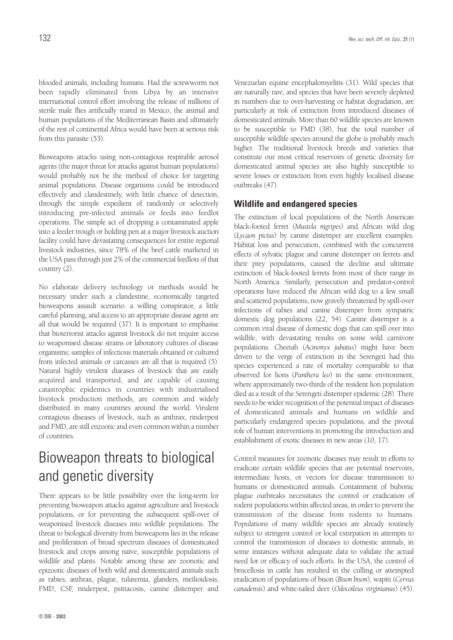blooded animals, including humans. Had the screwworm not been rapidly eliminated from Libya by an intensive international control effort involving the release of millions of sterile male flies artificially reared in Mexico, the animal and human populations of the Mediterranean Basin and ultimately of the rest of continental Africa would have been at serious risk from this parasite (53).

Bioweapons attacks using non-contagious respirable aerosol agents (the major threat for attacks against human populations) would probably not be the method of choice for targeting animal populations. Disease organisms could be introduced effectively and clandestinely, with little chance of detection, through the simple expedient of randomly or selectively introducing pre-infected animals or feeds into feedlot operations. The simple act of dropping a contaminated apple into a feeder trough or holding pen at a major livestock auction facility could have devastating consequences for entire regional livestock industries, since 78% of the beef cattle marketed in the USA pass through just 2% of the commercial feedlots of that country (2).

No elaborate delivery technology or methods would be necessary under such a clandestine, economically targeted bioweapons assault scenario: a willing conspirator, a little careful planning, and access to an appropriate disease agent are all that would be required (37). It is important to emphasise that bioterrorist attacks against livestock do not require access to weaponised disease strains or laboratory cultures of disease organisms; samples of infectious materials obtained or cultured from infected animals or carcasses are all that is required (5). Natural highly virulent diseases of livestock that are easily acquired and transported, and are capable of causing catastrophic epidemics in countries with industrialised livestock production methods, are common and widely distributed in many countries around the world. Virulent contagious diseases of livestock, such as anthrax, rinderpest and FMD, are still enzootic and even common within a number of countries.

# Bioweapon threats to biological and genetic diversity

There appears to be little possibility over the long-term for preventing bioweapon attacks against agriculture and livestock populations, or for preventing the subsequent spill-over of weaponised livestock diseases into wildlife populations. The threat to biological diversity from bioweapons lies in the release and proliferation of broad spectrum diseases of domesticated livestock and crops among naïve, susceptible populations of wildlife and plants. Notable among these are zoonotic and epizootic diseases of both wild and domesticated animals such as rabies, anthrax, plague, tularemia, glanders, meilioidosis, FMD, CSF, rinderpest, psittacosis, canine distemper and

Venezuelan equine encephalomyelitis (31). Wild species that are naturally rare, and species that have been severely depleted in numbers due to over-harvesting or habitat degradation, are particularly at risk of extinction from introduced diseases of domesticated animals. More than 60 wildlife species are known to be susceptible to FMD (38), but the total number of susceptible wildlife species around the globe is probably much higher. The traditional livestock breeds and varieties that constitute our most critical reservoirs of genetic diversity for domesticated animal species are also highly susceptible to severe losses or extinction from even highly localised disease outbreaks (47).

### **Wildlife and endangered species**

The extinction of local populations of the North American black-footed ferret (*Mustela nigripes*) and African wild dog (*Lycaon pictus*) by canine distemper are excellent examples. Habitat loss and persecution, combined with the concurrent effects of sylvatic plague and canine distemper on ferrets and their prey populations, caused the decline and ultimate extinction of black-footed ferrets from most of their range in North America. Similarly, persecution and predator-control operations have reduced the African wild dog to a few small and scattered populations, now gravely threatened by spill-over infections of rabies and canine distemper from sympatric domestic dog populations (22, 54). Canine distemper is a common viral disease of domestic dogs that can spill over into wildlife, with devastating results on some wild carnivore populations. Cheetah (*Acinonyx jubatus*) might have been driven to the verge of extinction in the Serengeti had this species experienced a rate of mortality comparable to that observed for lions (*Panthera leo*) in the same environment, where approximately two-thirds of the resident lion population died as a result of the Serengeti distemper epidemic (28). There needs to be wider recognition of the potential impact of diseases of domesticated animals and humans on wildlife and particularly endangered species populations, and the pivotal role of human interventions in promoting the introduction and establishment of exotic diseases in new areas (10, 17).

Control measures for zoonotic diseases may result in efforts to eradicate certain wildlife species that are potential reservoirs, intermediate hosts, or vectors for disease transmission to humans or domesticated animals. Containment of bubonic plague outbreaks necessitates the control or eradication of rodent populations within affected areas, in order to prevent the transmission of the disease from rodents to humans. Populations of many wildlife species are already routinely subject to stringent control or local extirpation in attempts to control the transmission of diseases to domestic animals, in some instances without adequate data to validate the actual need for or efficacy of such efforts. In the USA, the control of brucellosis in cattle has resulted in the culling or attempted eradication of populations of bison (*Bison bison*), wapiti (*Cervus canadensis*) and white-tailed deer (*Odocoileus virginianus*) (45).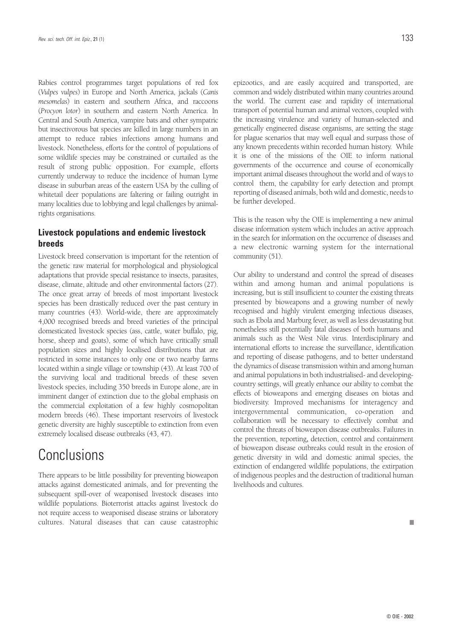Rabies control programmes target populations of red fox (*Vulpes vulpes*) in Europe and North America, jackals (*Canis mesomelas*) in eastern and southern Africa, and raccoons (*Procyon lotor*) in southern and eastern North America. In Central and South America, vampire bats and other sympatric but insectivorous bat species are killed in large numbers in an attempt to reduce rabies infections among humans and livestock. Nonetheless, efforts for the control of populations of some wildlife species may be constrained or curtailed as the result of strong public opposition. For example, efforts currently underway to reduce the incidence of human Lyme disease in suburban areas of the eastern USA by the culling of whitetail deer populations are faltering or failing outright in many localities due to lobbying and legal challenges by animalrights organisations.

### **Livestock populations and endemic livestock breeds**

Livestock breed conservation is important for the retention of the genetic raw material for morphological and physiological adaptations that provide special resistance to insects, parasites, disease, climate, altitude and other environmental factors (27). The once great array of breeds of most important livestock species has been drastically reduced over the past century in many countries (43). World-wide, there are approximately 4,000 recognised breeds and breed varieties of the principal domesticated livestock species (ass, cattle, water buffalo, pig, horse, sheep and goats), some of which have critically small population sizes and highly localised distributions that are restricted in some instances to only one or two nearby farms located within a single village or township (43). At least 700 of the surviving local and traditional breeds of these seven livestock species, including 350 breeds in Europe alone, are in imminent danger of extinction due to the global emphasis on the commercial exploitation of a few highly cosmopolitan modern breeds (46). These important reservoirs of livestock genetic diversity are highly susceptible to extinction from even extremely localised disease outbreaks (43, 47).

## Conclusions

There appears to be little possibility for preventing bioweapon attacks against domesticated animals, and for preventing the subsequent spill-over of weaponised livestock diseases into wildlife populations. Bioterrorist attacks against livestock do not require access to weaponised disease strains or laboratory cultures. Natural diseases that can cause catastrophic epizootics, and are easily acquired and transported, are common and widely distributed within many countries around the world. The current ease and rapidity of international transport of potential human and animal vectors, coupled with the increasing virulence and variety of human-selected and genetically engineered disease organisms, are setting the stage for plague scenarios that may well equal and surpass those of any known precedents within recorded human history. While it is one of the missions of the OIE to inform national governments of the occurrence and course of economically important animal diseases throughout the world and of ways to control them, the capability for early detection and prompt reporting of diseased animals, both wild and domestic, needs to be further developed.

This is the reason why the OIE is implementing a new animal disease information system which includes an active approach in the search for information on the occurrence of diseases and a new electronic warning system for the international community (51).

Our ability to understand and control the spread of diseases within and among human and animal populations is increasing, but is still insufficient to counter the existing threats presented by bioweapons and a growing number of newly recognised and highly virulent emerging infectious diseases, such as Ebola and Marburg fever, as well as less devastating but nonetheless still potentially fatal diseases of both humans and animals such as the West Nile virus. Interdisciplinary and international efforts to increase the surveillance, identification and reporting of disease pathogens, and to better understand the dynamics of disease transmission within and among human and animal populations in both industrialised- and developingcountry settings, will greatly enhance our ability to combat the effects of bioweapons and emerging diseases on biotas and biodiversity. Improved mechanisms for interagency and intergovernmental communication, co-operation and collaboration will be necessary to effectively combat and control the threats of bioweapon disease outbreaks. Failures in the prevention, reporting**,** detection, control and containment of bioweapon disease outbreaks could result in the erosion of genetic diversity in wild and domestic animal species, the extinction of endangered wildlife populations, the extirpation of indigenous peoples and the destruction of traditional human livelihoods and cultures.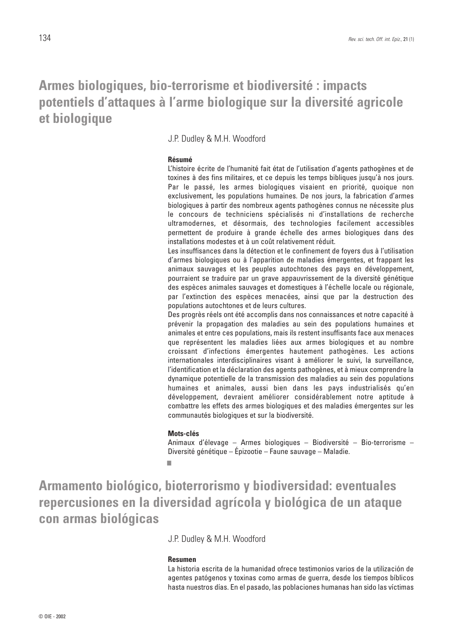### **Armes biologiques, bio-terrorisme et biodiversité : impacts potentiels d'attaques à l'arme biologique sur la diversité agricole et biologique**

J.P. Dudley & M.H. Woodford

### **Résumé**

L'histoire écrite de l'humanité fait état de l'utilisation d'agents pathogènes et de toxines à des fins militaires, et ce depuis les temps bibliques jusqu'à nos jours. Par le passé, les armes biologiques visaient en priorité, quoique non exclusivement, les populations humaines. De nos jours, la fabrication d'armes biologiques à partir des nombreux agents pathogènes connus ne nécessite plus le concours de techniciens spécialisés ni d'installations de recherche ultramodernes, et désormais, des technologies facilement accessibles permettent de produire à grande échelle des armes biologiques dans des installations modestes et à un coût relativement réduit.

Les insuffisances dans la détection et le confinement de foyers dus à l'utilisation d'armes biologiques ou à l'apparition de maladies émergentes, et frappant les animaux sauvages et les peuples autochtones des pays en développement, pourraient se traduire par un grave appauvrissement de la diversité génétique des espèces animales sauvages et domestiques à l'échelle locale ou régionale, par l'extinction des espèces menacées, ainsi que par la destruction des populations autochtones et de leurs cultures.

Des progrès réels ont été accomplis dans nos connaissances et notre capacité à prévenir la propagation des maladies au sein des populations humaines et animales et entre ces populations, mais ils restent insuffisants face aux menaces que représentent les maladies liées aux armes biologiques et au nombre croissant d'infections émergentes hautement pathogènes. Les actions internationales interdisciplinaires visant à améliorer le suivi, la surveillance, l'identification et la déclaration des agents pathogènes, et à mieux comprendre la dynamique potentielle de la transmission des maladies au sein des populations humaines et animales, aussi bien dans les pays industrialisés qu'en développement, devraient améliorer considérablement notre aptitude à combattre les effets des armes biologiques et des maladies émergentes sur les communautés biologiques et sur la biodiversité.

#### **Mots-clés**

Animaux d'élevage – Armes biologiques – Biodiversité – Bio-terrorisme – Diversité génétique – Épizootie – Faune sauvage – Maladie. ■

**Armamento biológico, bioterrorismo y biodiversidad: eventuales repercusiones en la diversidad agrícola y biológica de un ataque con armas biológicas**

J.P. Dudley & M.H. Woodford

#### **Resumen**

La historia escrita de la humanidad ofrece testimonios varios de la utilización de agentes patógenos y toxinas como armas de guerra, desde los tiempos bíblicos hasta nuestros días. En el pasado, las poblaciones humanas han sido las víctimas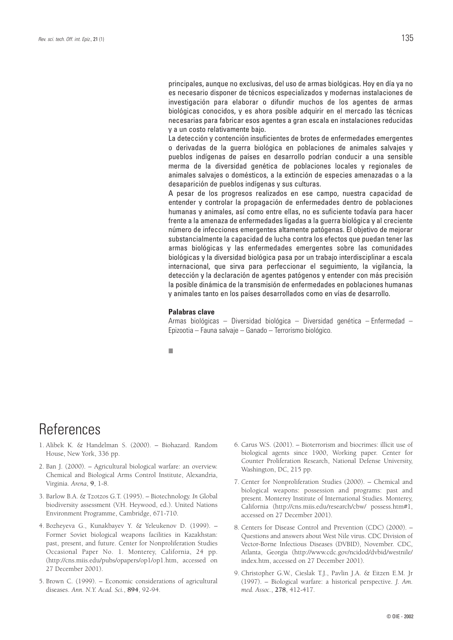principales, aunque no exclusivas, del uso de armas biológicas. Hoy en día ya no es necesario disponer de técnicos especializados y modernas instalaciones de investigación para elaborar o difundir muchos de los agentes de armas biológicas conocidos, y es ahora posible adquirir en el mercado las técnicas necesarias para fabricar esos agentes a gran escala en instalaciones reducidas y a un costo relativamente bajo.

La detección y contención insuficientes de brotes de enfermedades emergentes o derivadas de la guerra biológica en poblaciones de animales salvajes y pueblos indígenas de países en desarrollo podrían conducir a una sensible merma de la diversidad genética de poblaciones locales y regionales de animales salvajes o domésticos, a la extinción de especies amenazadas o a la desaparición de pueblos indígenas y sus culturas.

A pesar de los progresos realizados en ese campo, nuestra capacidad de entender y controlar la propagación de enfermedades dentro de poblaciones humanas y animales, así como entre ellas, no es suficiente todavía para hacer frente a la amenaza de enfermedades ligadas a la guerra biológica y al creciente número de infecciones emergentes altamente patógenas. El objetivo de mejorar substancialmente la capacidad de lucha contra los efectos que puedan tener las armas biológicas y las enfermedades emergentes sobre las comunidades biológicas y la diversidad biológica pasa por un trabajo interdisciplinar a escala internacional, que sirva para perfeccionar el seguimiento, la vigilancia, la detección y la declaración de agentes patógenos y entender con más precisión la posible dinámica de la transmisión de enfermedades en poblaciones humanas y animales tanto en los países desarrollados como en vías de desarrollo.

#### **Palabras clave**

Armas biológicas – Diversidad biológica – Diversidad genética – Enfermedad – Epizootia – Fauna salvaje – Ganado – Terrorismo biológico.

■

## References

- 1. Alibek K. & Handelman S. (2000). Biohazard. Random House, New York, 336 pp.
- 2. Ban J. (2000). Agricultural biological warfare: an overview. Chemical and Biological Arms Control Institute, Alexandria, Virginia. *Arena*, **9**, 1-8.
- 3. Barlow B.A. & Tzotzos G.T. (1995). Biotechnology. *In* Global biodiversity assessment (V.H. Heywood, ed.). United Nations Environment Programme, Cambridge, 671-710.
- 4. Bozheyeva G., Kunakbayev Y. & Yeleukenov D. (1999). Former Soviet biological weapons facilities in Kazakhstan: past, present, and future. Center for Nonproliferation Studies Occasional Paper No. 1. Monterey, California, 24 pp. (http://cns.miis.edu/pubs/opapers/op1/op1.htm, accessed on 27 December 2001).
- 5. Brown C. (1999). Economic considerations of agricultural diseases. *Ann. N.Y. Acad. Sci.*, **894**, 92-94.
- 6. Carus W.S. (2001). Bioterrorism and biocrimes: illicit use of biological agents since 1900, Working paper. Center for Counter Proliferation Research, National Defense University, Washington, DC, 215 pp.
- 7. Center for Nonproliferation Studies (2000). Chemical and biological weapons: possession and programs: past and present. Monterey Institute of International Studies. Monterey, California (http://cns.miis.edu/research/cbw/ possess.htm#1, accessed on 27 December 2001).
- 8. Centers for Disease Control and Prevention (CDC) (2000). Questions and answers about West Nile virus. CDC Division of Vector-Borne Infectious Diseases (DVBID), November. CDC, Atlanta, Georgia (http://www.cdc.gov/ncidod/dvbid/westnile/ index.htm, accessed on 27 December 2001).
- 9. Christopher G.W., Cieslak T.J., Pavlin J.A. & Eitzen E.M. Jr (1997). – Biological warfare: a historical perspective. *J. Am. med. Assoc.*, **278**, 412-417.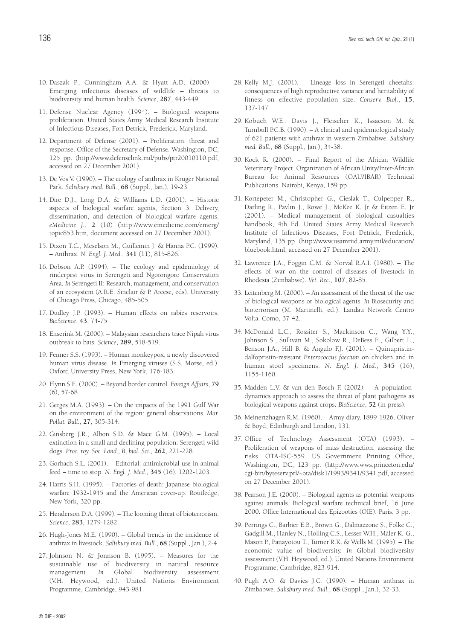- 10. Daszak P., Cunningham A.A. & Hyatt A.D. (2000). Emerging infectious diseases of wildlife – threats to biodiversity and human health. *Science*, **287**, 443-449.
- 11. Defense Nuclear Agency (1994). Biological weapons proliferation. United States Army Medical Research Institute of Infectious Diseases, Fort Detrick, Frederick, Maryland.
- 12. Department of Defense (2001). Proliferation: threat and response. Office of the Secretary of Defense. Washington, DC, 125 pp. (http://www.defenselink.mil/pubs/ptr20010110.pdf, accessed on 27 December 2001).
- 13. De Vos V. (1990). The ecology of anthrax in Kruger National Park. *Salisbury med. Bull.*, **68** (Suppl., Jan.), 19-23.
- 14. Dire D.J., Long D.A. & Williams L.D. (2001). Historic aspects of biological warfare agents, Section 3: Delivery, dissemination, and detection of biological warfare agents. *eMedicine J.*, **2** (10) (http://www.emedicine.com/emerg/ topic853.htm, document accessed on 27 December 2001).
- 15. Dixon T.C., Meselson M., Guillemin J. & Hanna P.C. (1999). – Anthrax. *N. Engl. J. Med.*, **341** (11), 815-826.
- 16. Dobson A.P. (1994). The ecology and epidemiology of rinderpest virus in Serengeti and Ngorongoro Conservation Area. *In* Serengeti II: Research, management, and conservation of an ecosystem (A.R.E. Sinclair & P. Arcese, eds). University of Chicago Press, Chicago, 485-505.
- 17. Dudley J.P. (1993). Human effects on rabies reservoirs. *BioScience*, **43**, 74-75.
- 18. Enserink M. (2000). Malaysian researchers trace Nipah virus outbreak to bats. *Science*, **289**, 518-519.
- 19. Fenner S.S. (1993). Human monkeypox, a newly discovered human virus disease. *In* Emerging viruses (S.S. Morse, ed.). Oxford University Press, New York, 176-183.
- 20. Flynn S.E. (2000). Beyond border control. *Foreign Affairs*, **79**  $(6)$ , 57-68.
- 21. Gerges M.A. (1993). On the impacts of the 1991 Gulf War on the environment of the region: general observations. *Mar. Pollut. Bull.*, **27**, 305-314.
- 22. Ginsberg J.R., Albon S.D. & Mace G.M. (1995). Local extinction in a small and declining population: Serengeti wild dogs. *Proc. roy. Soc. Lond., B, biol. Sci.*, **262**, 221-228.
- 23. Gorbach S.L. (2001). Editorial: antimicrobial use in animal feed – time to stop. *N. Engl. J. Med.*, **345** (16), 1202-1203.
- 24. Harris S.H. (1995). Factories of death: Japanese biological warfare 1932-1945 and the American cover-up. Routledge, New York, 320 pp.
- 25. Henderson D.A. (1999). The looming threat of bioterrorism. *Science*, **283**, 1279-1282.
- 26. Hugh-Jones M.E. (1990). Global trends in the incidence of anthrax in livestock. *Salisbury med. Bull.*, **68** (Suppl., Jan.), 2-4.
- 27. Johnson N. & Jonnson B. (1995). Measures for the sustainable use of biodiversity in natural resource management. *In* Global biodiversity assessment (V.H. Heywood, ed.). United Nations Environment Programme, Cambridge, 943-981.
- 28. Kelly M.J. (2001). Lineage loss in Serengeti cheetahs: consequences of high reproductive variance and heritability of fitness on effective population size. *Conserv. Biol.*, **15**, 137-147.
- 29. Kobuch W.E., Davis J., Fleischer K., Issacson M. & Turnbull P.C.B. (1990). – A clinical and epidemiological study of 621 patients with anthrax in western Zimbabwe. *Salisbury med. Bull.*, **68** (Suppl., Jan.), 34-38.
- 30. Kock R. (2000). Final Report of the African Wildlife Veterinary Project. Organization of African Unity/Inter-African Bureau for Animal Resources (OAU/IBAR) Technical Publications. Nairobi, Kenya, 159 pp.
- 31. Kortepeter M., Christopher G., Cieslak T., Culpepper R., Darling R., Pavlin J., Rowe J., McKee K. Jr & Eitzen E. Jr (2001). – Medical management of biological casualties handbook, 4th Ed. United States Army Medical Research Institute of Infectious Diseases, Fort Detrick, Frederick, Maryland, 135 pp. (http://www.usamriid.army.mil/education/ bluebook.html, accessed on 27 December 2001).
- 32. Lawrence J.A., Foggin C.M. & Norval R.A.I. (1980). The effects of war on the control of diseases of livestock in Rhodesia (Zimbabwe). *Vet. Rec.*, **107**, 82-85.
- 33. Leitenberg M. (2000). An assessment of the threat of the use of biological weapons or biological agents. *In* Biosecurity and bioterrorism (M. Martinelli, ed.). Landau Network Centro Volta. Como, 37-42.
- 34. McDonald L.C., Rossiter S., Mackinson C., Wang Y.Y., Johnson S., Sullivan M., Sokolow R., DeBess E., Gilbert L., Benson J.A., Hill B. & Angulo F.J. (2001). – Quinupristindalfopristin-resistant *Enterococcus faecium* on chicken and in human stool specimens. *N. Engl. J. Med.*, **345** (16), 1155-1160.
- 35. Madden L.V. & van den Bosch F. (2002). A populationdynamics approach to assess the threat of plant pathogens as biological weapons against crops. *BioScience*, **52** (in press).
- 36. Meinertzhagen R.M. (1960). Army diary, 1899-1926. Oliver & Boyd, Edinburgh and London, 131.
- 37. Office of Technology Assessment (OTA) (1993). Proliferation of weapons of mass destruction: assessing the risks. OTA-ISC-559. US Government Printing Office, Washington, DC, 123 pp. (http://www.wws.princeton.edu/ cgi-bin/byteserv.prl/~ota/disk1/1993/9341/9341.pdf, accessed on 27 December 2001).
- 38. Pearson J.E. (2000). Biological agents as potential weapons against animals. Biological warfare technical brief, 16 June 2000. Office International des Epizooties (OIE), Paris, 3 pp.
- 39. Perrings C., Barbier E.B., Brown G., Dalmazzone S., Folke C., Gadgill M., Hanley N., Holling C.S., Lesser W.H., Mäler K.-G., Mason P., Panayotou T., Turner R.K. & Wells M. (1995). – The economic value of biodiversity. *In* Global biodiversity assessment (V.H. Heywood, ed.). United Nations Environment Programme, Cambridge, 823-914.
- 40. Pugh A.O. & Davies J.C. (1990). Human anthrax in Zimbabwe. *Salisbury med. Bull.*, **68** (Suppl., Jan.), 32-33.